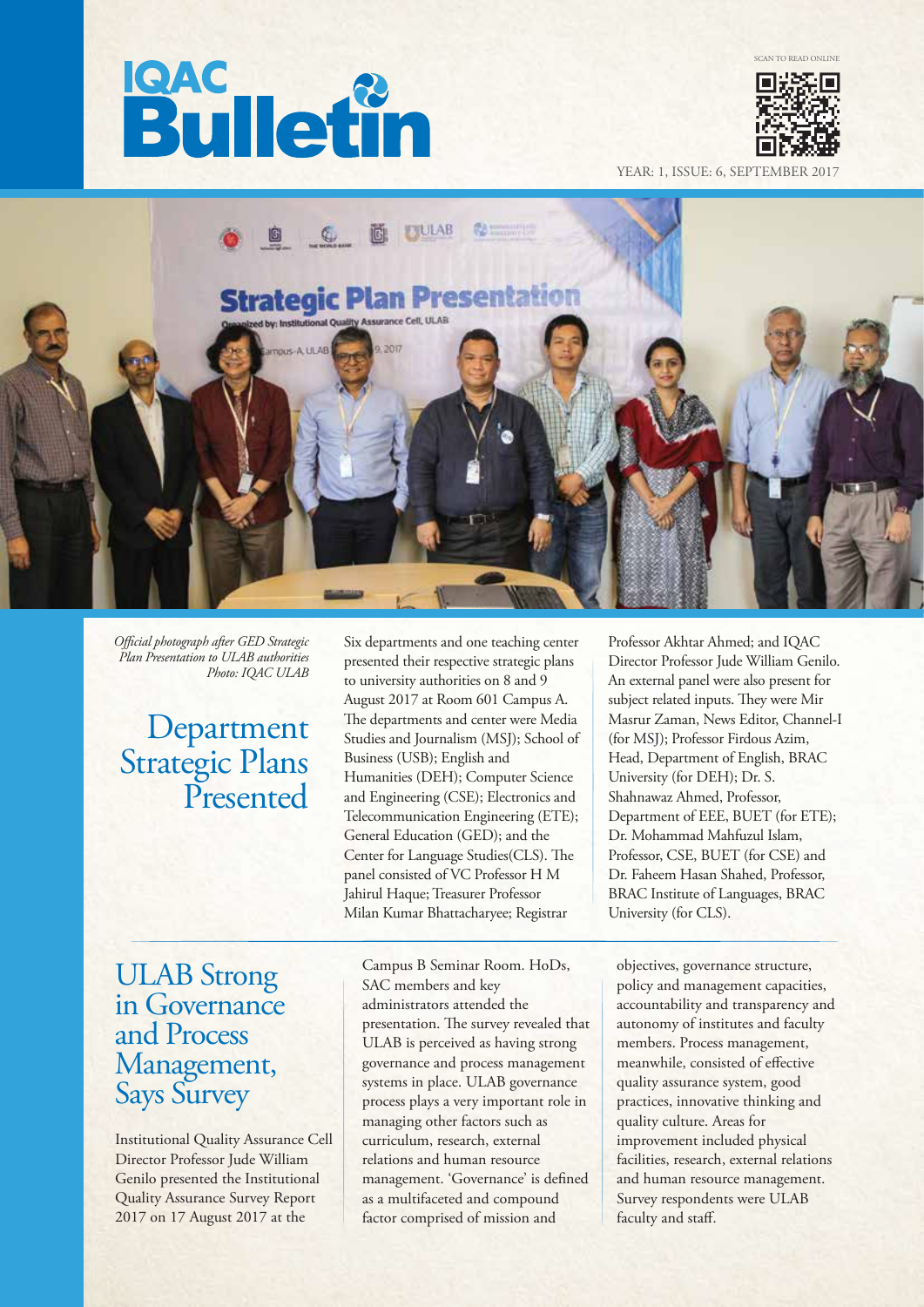# **Bulletin**



YEAR: 1, ISSUE: 6, SEPTEMI



*Ocial photograph after GED Strategic Plan Presentation to ULAB authorities Photo: IQAC ULAB*

### Department Strategic Plans Presented

### ULAB Strong in Governance and Process Management, Says Survey

Institutional Quality Assurance Cell Director Professor Jude William Genilo presented the Institutional Quality Assurance Survey Report 2017 on 17 August 2017 at the

Six departments and one teaching center presented their respective strategic plans to university authorities on 8 and 9 August 2017 at Room 601 Campus A. The departments and center were Media Studies and Journalism (MSJ); School of Business (USB); English and Humanities (DEH); Computer Science and Engineering (CSE); Electronics and Telecommunication Engineering (ETE); General Education (GED); and the Center for Language Studies(CLS). The panel consisted of VC Professor H M Jahirul Haque; Treasurer Professor Milan Kumar Bhattacharyee; Registrar

Campus B Seminar Room. HoDs, SAC members and key administrators attended the presentation. The survey revealed that ULAB is perceived as having strong governance and process management systems in place. ULAB governance process plays a very important role in managing other factors such as curriculum, research, external relations and human resource management. 'Governance' is defined as a multifaceted and compound factor comprised of mission and

Professor Akhtar Ahmed; and IQAC Director Professor Jude William Genilo. An external panel were also present for subject related inputs. They were Mir Masrur Zaman, News Editor, Channel-I (for MSJ); Professor Firdous Azim, Head, Department of English, BRAC University (for DEH); Dr. S. Shahnawaz Ahmed, Professor, Department of EEE, BUET (for ETE); Dr. Mohammad Mahfuzul Islam, Professor, CSE, BUET (for CSE) and Dr. Faheem Hasan Shahed, Professor, BRAC Institute of Languages, BRAC University (for CLS).

objectives, governance structure, policy and management capacities, accountability and transparency and autonomy of institutes and faculty members. Process management, meanwhile, consisted of effective quality assurance system, good practices, innovative thinking and quality culture. Areas for improvement included physical facilities, research, external relations and human resource management. Survey respondents were ULAB faculty and staff.